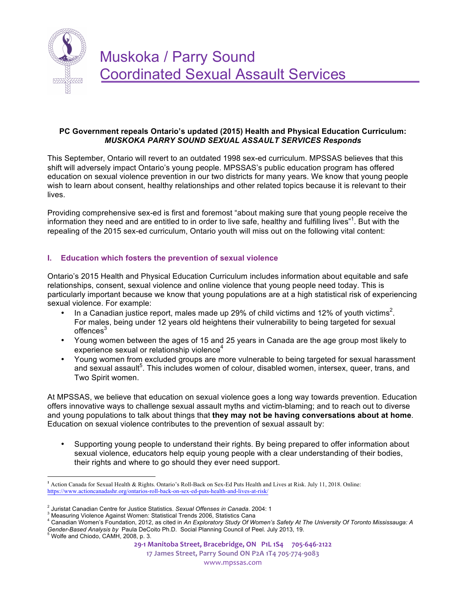

## **PC Government repeals Ontario's updated (2015) Health and Physical Education Curriculum:** *MUSKOKA PARRY SOUND SEXUAL ASSAULT SERVICES Responds*

This September, Ontario will revert to an outdated 1998 sex-ed curriculum. MPSSAS believes that this shift will adversely impact Ontario's young people. MPSSAS's public education program has offered education on sexual violence prevention in our two districts for many years. We know that young people wish to learn about consent, healthy relationships and other related topics because it is relevant to their lives.

Providing comprehensive sex-ed is first and foremost "about making sure that young people receive the information they need and are entitled to in order to live safe, healthy and fulfilling lives"<sup>1</sup>. But with the repealing of the 2015 sex-ed curriculum, Ontario youth will miss out on the following vital content:

# **I. Education which fosters the prevention of sexual violence**

Ontario's 2015 Health and Physical Education Curriculum includes information about equitable and safe relationships, consent, sexual violence and online violence that young people need today. This is particularly important because we know that young populations are at a high statistical risk of experiencing sexual violence. For example:

- In a Canadian justice report, males made up 29% of child victims and 12% of youth victims<sup>2</sup>. For males, being under 12 years old heightens their vulnerability to being targeted for sexual offences<sup>3</sup>
- Young women between the ages of 15 and 25 years in Canada are the age group most likely to experience sexual or relationship violence<sup>4</sup>
- Young women from excluded groups are more vulnerable to being targeted for sexual harassment and sexual assault<sup>5</sup>. This includes women of colour, disabled women, intersex, queer, trans, and Two Spirit women.

At MPSSAS, we believe that education on sexual violence goes a long way towards prevention. Education offers innovative ways to challenge sexual assault myths and victim-blaming; and to reach out to diverse and young populations to talk about things that **they may not be having conversations about at home**. Education on sexual violence contributes to the prevention of sexual assault by:

• Supporting young people to understand their rights. By being prepared to offer information about sexual violence, educators help equip young people with a clear understanding of their bodies, their rights and where to go should they ever need support.

1

**17 James Street, Parry Sound ON P2A 1T4 705-774-9083** www.mpssas.com

**<sup>1</sup>** Action Canada for Sexual Health & Rights. Ontario's Roll-Back on Sex-Ed Puts Health and Lives at Risk. July 11, 2018. Online: https://www.actioncanadashr.org/ontarios-roll-back-on-sex-ed-puts-health-and-lives-at-risk/

<sup>&</sup>lt;sup>2</sup> Juristat Canadian Centre for Justice Statistics. *Sexual Offenses in Canada.* 2004: 1<br><sup>3</sup> Measuring Violence Against Women: Statistical Trends 2006, Statistics Cana

<sup>4</sup> Canadian Women's Foundation, 2012, as cited in *An Exploratory Study Of Women's Safety At The University Of Toronto Mississauga: A Gender-Based Analysis by Paula DeCoito Ph.D. Social Planning Council of Peel. July 2013, 19.* 5 Wolfe and Chiodo, CAMH, 2008, p. 3.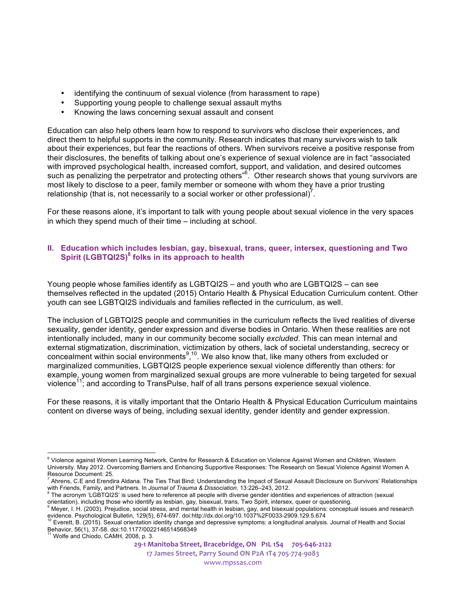- identifying the continuum of sexual violence (from harassment to rape)
- Supporting young people to challenge sexual assault myths
- Knowing the laws concerning sexual assault and consent

Education can also help others learn how to respond to survivors who disclose their experiences, and direct them to helpful supports in the community. Research indicates that many survivors wish to talk about their experiences, but fear the reactions of others. When survivors receive a positive response from their disclosures, the benefits of talking about one's experience of sexual violence are in fact "associated with improved psychological health, increased comfort, support, and validation, and desired outcomes such as penalizing the perpetrator and protecting others"<sup>6</sup>. Other research shows that young survivors are most likely to disclose to a peer, family member or someone with whom they have a prior trusting relationship (that is, not necessarily to a social worker or other professional) $^7$ .

For these reasons alone, it's important to talk with young people about sexual violence in the very spaces in which they spend much of their time – including at school.

## **II. Education which includes lesbian, gay, bisexual, trans, queer, intersex, questioning and Two Spirit (LGBTQI2S)<sup>8</sup> folks in its approach to health**

Young people whose families identify as LGBTQI2S – and youth who are LGBTQI2S – can see themselves reflected in the updated (2015) Ontario Health & Physical Education Curriculum content. Other youth can see LGBTQI2S individuals and families reflected in the curriculum, as well.

The inclusion of LGBTQI2S people and communities in the curriculum reflects the lived realities of diverse sexuality, gender identity, gender expression and diverse bodies in Ontario. When these realities are not intentionally included, many in our community become socially *excluded*. This can mean internal and external stigmatization, discrimination, victimization by others, lack of societal understanding, secrecy or concealment within social environments<sup>9,10</sup>. We also know that, like many others from excluded or marginalized communities, LGBTQI2S people experience sexual violence differently than others: for example, young women from marginalized sexual groups are more vulnerable to being targeted for sexual violence11; and according to TransPulse, half of all trans persons experience sexual violence.

For these reasons, it is vitally important that the Ontario Health & Physical Education Curriculum maintains content on diverse ways of being, including sexual identity, gender identity and gender expression.

**17 James Street, Parry Sound ON P2A 1T4 705-774-9083** www.mpssas.com

<sup>&</sup>lt;sup>6</sup> Violence against Women Learning Network, Centre for Research & Education on Violence Against Women and Children, Western University. May 2012. Overcoming Barriers and Enhancing Supportive Responses: The Research on Sexual Violence Against Women A Resource Document: 25.

<sup>7</sup> Ahrens, C.E and Erendira Aldana. The Ties That Bind: Understanding the Impact of Sexual Assault Disclosure on Survivors' Relationships with Friends, Family, and Partners. In Journal of Trauma & Dissociation, 13:226–243, 2012.<br><sup>8</sup> The acronym 'LGBTQI2S' is used here to reference all people with diverse gender identities and experiences of attraction (sexua

orientation), including those who identify as lesbian, gay, bisexual, trans, Two Spirit, intersex, queer or questioning.

Meyer, I. H. (2003). Prejudice, social stress, and mental health in lesbian, gay, and bisexual populations: conceptual issues and research evidence. Psychological Bulletin, 129(5), 674-697. doi:http://dx.doi.org/10.1037%2F0033-2909.129.5.674<br><sup>10</sup> Everett, B. (2015). Sexual orientation identity change and depressive symptoms: a longitudinal analysis. Journal o

Behavior, 56(1), 37-58. doi:10.1177/0022146514568349 <sup>11</sup> Wolfe and Chiodo, CAMH, 2008, p. 3.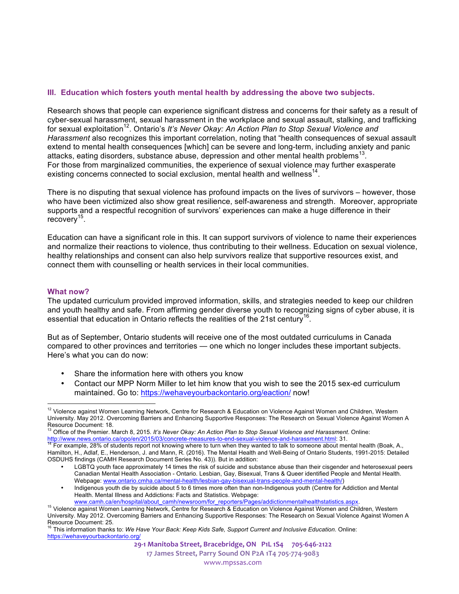#### **III. Education which fosters youth mental health by addressing the above two subjects.**

Research shows that people can experience significant distress and concerns for their safety as a result of cyber-sexual harassment, sexual harassment in the workplace and sexual assault, stalking, and trafficking for sexual exploitation<sup>12</sup>. Ontario's *It's Never Okay: An Action Plan to Stop Sexual Violence and Harassment* also recognizes this important correlation, noting that "health consequences of sexual assault extend to mental health consequences [which] can be severe and long-term, including anxiety and panic attacks, eating disorders, substance abuse, depression and other mental health problems<sup>13</sup>. For those from marginalized communities, the experience of sexual violence may further exasperate existing concerns connected to social exclusion, mental health and wellness<sup>14</sup>.

There is no disputing that sexual violence has profound impacts on the lives of survivors – however, those who have been victimized also show great resilience, self-awareness and strength. Moreover, appropriate supports and a respectful recognition of survivors' experiences can make a huge difference in their recovery<sup>15</sup>.

Education can have a significant role in this. It can support survivors of violence to name their experiences and normalize their reactions to violence, thus contributing to their wellness. Education on sexual violence, healthy relationships and consent can also help survivors realize that supportive resources exist, and connect them with counselling or health services in their local communities.

#### **What now?**

The updated curriculum provided improved information, skills, and strategies needed to keep our children and youth healthy and safe. From affirming gender diverse youth to recognizing signs of cyber abuse, it is essential that education in Ontario reflects the realities of the 21st century<sup>16</sup>.

But as of September, Ontario students will receive one of the most outdated curriculums in Canada compared to other provinces and territories — one which no longer includes these important subjects. Here's what you can do now:

- Share the information here with others you know<br>• Contact our MPP Norm Miller to let him know tha
- Contact our MPP Norm Miller to let him know that you wish to see the 2015 sex-ed curriculum maintained. Go to: https://wehaveyourbackontario.org/eaction/ now!

**17 James Street, Parry Sound ON P2A 1T4 705-774-9083** www.mpssas.com

<sup>1</sup> <sup>12</sup> Violence against Women Learning Network, Centre for Research & Education on Violence Against Women and Children, Western University. May 2012. Overcoming Barriers and Enhancing Supportive Responses: The Research on Sexual Violence Against Women A Resource Document: 18.

<sup>13</sup> Office of the Premier. March 8, 2015*. It's Never Okay: An Action Plan to Stop Sexual Violence and Harassment*. Online:

http://www.news.ontario.ca/opo/en/2015/03/concrete-measures-to-end-sexual-violence-and-harassment.html: 31.<br><sup>14</sup> For example, 28% of students report not knowing where to turn when they wanted to talk to someone about menta Hamilton, H., Adlaf, E., Henderson, J. and Mann, R. (2016). The Mental Health and Well-Being of Ontario Students, 1991-2015: Detailed OSDUHS findings (CAMH Research Document Series No. 43)). But in addition:

LGBTQ youth face approximately 14 times the risk of suicide and substance abuse than their cisgender and heterosexual peers Canadian Mental Health Association - Ontario. Lesbian, Gay, Bisexual, Trans & Queer identified People and Mental Health. Webpage: www.ontario.cmha.ca/mental-health/lesbian-gay-bisexual-trans-people-and-mental-health/)

<sup>•</sup> Indigenous youth die by suicide about 5 to 6 times more often than non-Indigenous youth (Centre for Addiction and Mental Health. Mental Illness and Addictions: Facts and Statistics. Webpage:

www.camh.ca/en/hospital/about\_camh/newsroom/for\_reporters/Pages/addictionmentalhealthstatistics.aspx.<br><sup>15</sup> Violence against Women Learning Network, Centre for Research & Education on Violence Against Women and Children, We University. May 2012. Overcoming Barriers and Enhancing Supportive Responses: The Research on Sexual Violence Against Women A Resource Document: 25.<br><sup>16</sup> This information thanks to: *We Have Your Back: Keep Kids Safe, Support Current and Inclusive Education. Online:* 

https://wehaveyourbackontario.org/